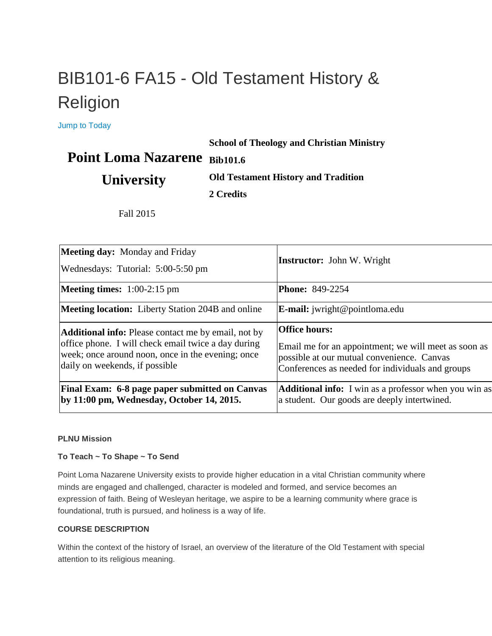# BIB101-6 FA15 - Old Testament History & Religion

[Jump to Today](https://canvas.pointloma.edu/courses/25074)

#### **School of Theology and Christian Ministry**

## Point Loma Nazarene Bib101.6

## **University**

**Old Testament History and Tradition**

**2 Credits**

Fall 2015

| <b>Meeting day:</b> Monday and Friday<br>Wednesdays: Tutorial: 5:00-5:50 pm                                                                                                                              | <b>Instructor:</b> John W. Wright                                                                                                                                              |
|----------------------------------------------------------------------------------------------------------------------------------------------------------------------------------------------------------|--------------------------------------------------------------------------------------------------------------------------------------------------------------------------------|
| <b>Meeting times:</b> $1:00-2:15$ pm                                                                                                                                                                     | <b>Phone: 849-2254</b>                                                                                                                                                         |
| <b>Meeting location:</b> Liberty Station 204B and online                                                                                                                                                 | <b>E-mail:</b> jwright@pointloma.edu                                                                                                                                           |
| <b>Additional info:</b> Please contact me by email, not by<br>office phone. I will check email twice a day during<br>week; once around noon, once in the evening; once<br>daily on weekends, if possible | <b>Office hours:</b><br>Email me for an appointment; we will meet as soon as<br>possible at our mutual convenience. Canvas<br>Conferences as needed for individuals and groups |
| Final Exam: 6-8 page paper submitted on Canvas<br>by 11:00 pm, Wednesday, October 14, 2015.                                                                                                              | <b>Additional info:</b> I win as a professor when you win as<br>a student. Our goods are deeply intertwined.                                                                   |

#### **PLNU Mission**

#### **To Teach ~ To Shape ~ To Send**

Point Loma Nazarene University exists to provide higher education in a vital Christian community where minds are engaged and challenged, character is modeled and formed, and service becomes an expression of faith. Being of Wesleyan heritage, we aspire to be a learning community where grace is foundational, truth is pursued, and holiness is a way of life.

#### **COURSE DESCRIPTION**

Within the context of the history of Israel, an overview of the literature of the Old Testament with special attention to its religious meaning.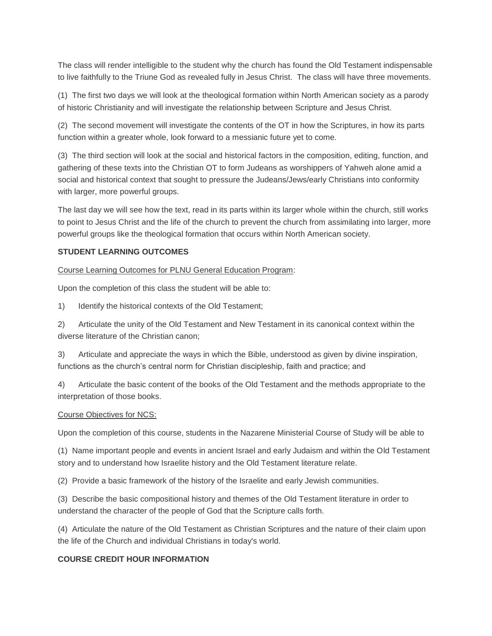The class will render intelligible to the student why the church has found the Old Testament indispensable to live faithfully to the Triune God as revealed fully in Jesus Christ. The class will have three movements.

(1) The first two days we will look at the theological formation within North American society as a parody of historic Christianity and will investigate the relationship between Scripture and Jesus Christ.

(2) The second movement will investigate the contents of the OT in how the Scriptures, in how its parts function within a greater whole, look forward to a messianic future yet to come.

(3) The third section will look at the social and historical factors in the composition, editing, function, and gathering of these texts into the Christian OT to form Judeans as worshippers of Yahweh alone amid a social and historical context that sought to pressure the Judeans/Jews/early Christians into conformity with larger, more powerful groups.

The last day we will see how the text, read in its parts within its larger whole within the church, still works to point to Jesus Christ and the life of the church to prevent the church from assimilating into larger, more powerful groups like the theological formation that occurs within North American society.

#### **STUDENT LEARNING OUTCOMES**

Course Learning Outcomes for PLNU General Education Program:

Upon the completion of this class the student will be able to:

1) Identify the historical contexts of the Old Testament;

2) Articulate the unity of the Old Testament and New Testament in its canonical context within the diverse literature of the Christian canon;

3) Articulate and appreciate the ways in which the Bible, understood as given by divine inspiration, functions as the church's central norm for Christian discipleship, faith and practice; and

4) Articulate the basic content of the books of the Old Testament and the methods appropriate to the interpretation of those books.

#### Course Objectives for NCS:

Upon the completion of this course, students in the Nazarene Ministerial Course of Study will be able to

(1) Name important people and events in ancient Israel and early Judaism and within the Old Testament story and to understand how Israelite history and the Old Testament literature relate.

(2) Provide a basic framework of the history of the Israelite and early Jewish communities.

(3) Describe the basic compositional history and themes of the Old Testament literature in order to understand the character of the people of God that the Scripture calls forth.

(4) Articulate the nature of the Old Testament as Christian Scriptures and the nature of their claim upon the life of the Church and individual Christians in today's world.

#### **COURSE CREDIT HOUR INFORMATION**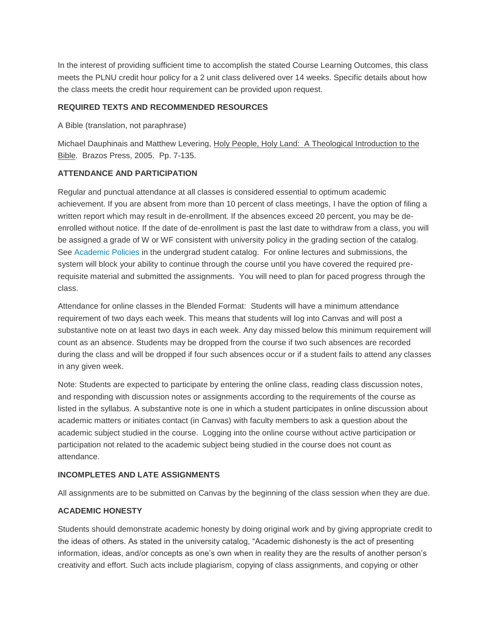In the interest of providing sufficient time to accomplish the stated Course Learning Outcomes, this class meets the PLNU credit hour policy for a 2 unit class delivered over 14 weeks. Specific details about how the class meets the credit hour requirement can be provided upon request.

#### **REQUIRED TEXTS AND RECOMMENDED RESOURCES**

A Bible (translation, not paraphrase)

Michael Dauphinais and Matthew Levering, Holy People, Holy Land: A Theological Introduction to the Bible. Brazos Press, 2005. Pp. 7-135.

#### **ATTENDANCE AND PARTICIPATION**

Regular and punctual attendance at all classes is considered essential to optimum academic achievement. If you are absent from more than 10 percent of class meetings, I have the option of filing a written report which may result in de-enrollment. If the absences exceed 20 percent, you may be deenrolled without notice. If the date of de-enrollment is past the last date to withdraw from a class, you will be assigned a grade of W or WF consistent with university policy in the grading section of the catalog. See [Academic Policies](http://www.pointloma.edu/experience/academics/catalogs/undergraduate-catalog/point-loma-education/academic-policies) in the undergrad student catalog. For online lectures and submissions, the system will block your ability to continue through the course until you have covered the required prerequisite material and submitted the assignments. You will need to plan for paced progress through the class.

Attendance for online classes in the Blended Format: Students will have a minimum attendance requirement of two days each week. This means that students will log into Canvas and will post a substantive note on at least two days in each week. Any day missed below this minimum requirement will count as an absence. Students may be dropped from the course if two such absences are recorded during the class and will be dropped if four such absences occur or if a student fails to attend any classes in any given week.

Note: Students are expected to participate by entering the online class, reading class discussion notes, and responding with discussion notes or assignments according to the requirements of the course as listed in the syllabus. A substantive note is one in which a student participates in online discussion about academic matters or initiates contact (in Canvas) with faculty members to ask a question about the academic subject studied in the course. Logging into the online course without active participation or participation not related to the academic subject being studied in the course does not count as attendance.

#### **INCOMPLETES AND LATE ASSIGNMENTS**

All assignments are to be submitted on Canvas by the beginning of the class session when they are due.

#### **ACADEMIC HONESTY**

Students should demonstrate academic honesty by doing original work and by giving appropriate credit to the ideas of others. As stated in the university catalog, "Academic dishonesty is the act of presenting information, ideas, and/or concepts as one's own when in reality they are the results of another person's creativity and effort. Such acts include plagiarism, copying of class assignments, and copying or other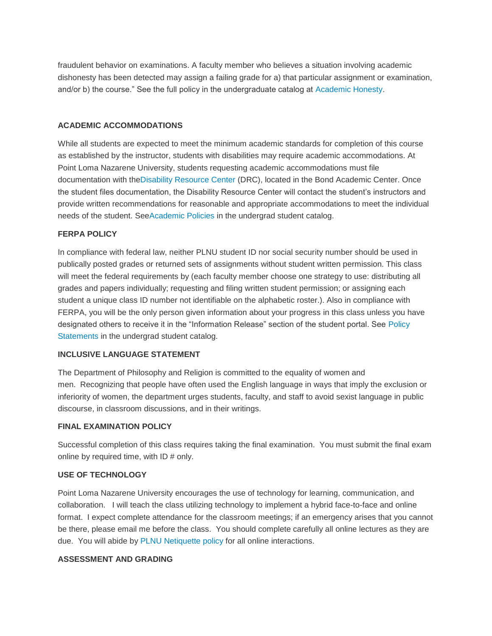fraudulent behavior on examinations. A faculty member who believes a situation involving academic dishonesty has been detected may assign a failing grade for a) that particular assignment or examination, and/or b) the course." See the full policy in the undergraduate catalog at [Academic Honesty.](https://mail.pointloma.edu/owa/redir.aspx?C=w_i3YHj3GEmQt4Gp3SaC8vNFeop3VM8I8c9ryS6qqkyvH44wFGMV7t4huTZBdI1EMgliJwMas_o.&URL=http%3a%2f%2fcatalog.pointloma.edu%2fcontent.php%3fcatoid%3d8%26navoid%3d864%2523Academic_Honesty)

#### **ACADEMIC ACCOMMODATIONS**

While all students are expected to meet the minimum academic standards for completion of this course as established by the instructor, students with disabilities may require academic accommodations. At Point Loma Nazarene University, students requesting academic accommodations must file documentation with th[eDisability Resource Center](http://www.pointloma.edu/experience/offices/administrative-offices/academic-advising-office/disability-resource-center) (DRC), located in the Bond Academic Center. Once the student files documentation, the Disability Resource Center will contact the student's instructors and provide written recommendations for reasonable and appropriate accommodations to meet the individual needs of the student. Se[eAcademic Policies](http://www.pointloma.edu/experience/academics/catalogs/undergraduate-catalog/point-loma-education/academic-policies) in the undergrad student catalog.

#### **FERPA POLICY**

In compliance with federal law, neither PLNU student ID nor social security number should be used in publically posted grades or returned sets of assignments without student written permission. This class will meet the federal requirements by (each faculty member choose one strategy to use: distributing all grades and papers individually; requesting and filing written student permission; or assigning each student a unique class ID number not identifiable on the alphabetic roster.). Also in compliance with FERPA, you will be the only person given information about your progress in this class unless you have designated others to receive it in the "Information Release" section of the student portal. See [Policy](http://www.pointloma.edu/experience/academics/catalogs/undergraduate-catalog/policy-statements)  [Statements](http://www.pointloma.edu/experience/academics/catalogs/undergraduate-catalog/policy-statements) in the undergrad student catalog.

#### **INCLUSIVE LANGUAGE STATEMENT**

The Department of Philosophy and Religion is committed to the equality of women and men. Recognizing that people have often used the English language in ways that imply the exclusion or inferiority of women, the department urges students, faculty, and staff to avoid sexist language in public discourse, in classroom discussions, and in their writings.

#### **FINAL EXAMINATION POLICY**

Successful completion of this class requires taking the final examination. You must submit the final exam online by required time, with ID # only.

#### **USE OF TECHNOLOGY**

Point Loma Nazarene University encourages the use of technology for learning, communication, and collaboration. I will teach the class utilizing technology to implement a hybrid face-to-face and online format. I expect complete attendance for the classroom meetings; if an emergency arises that you cannot be there, please email me before the class. You should complete carefully all online lectures as they are due. You will abide by [PLNU Netiquette policy](http://www.pointloma.edu/experience/community/student-life/student-handbook/student-policies-regulations/student-conduct-policies/community-living/computer-use-policy) for all online interactions.

#### **ASSESSMENT AND GRADING**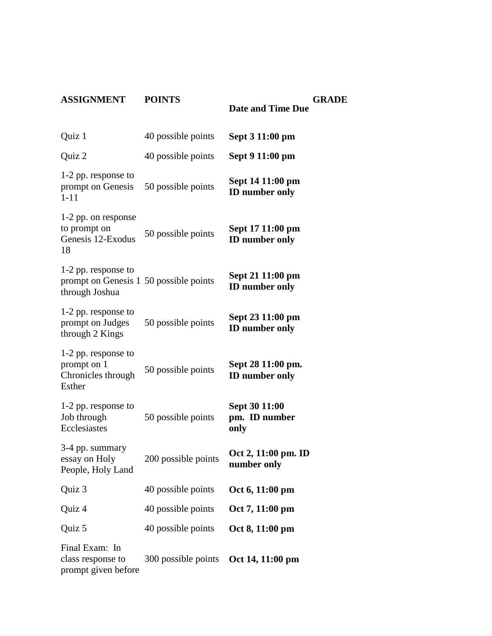### **ASSIGNMENT POINTS**

| Quiz 1                                                                          | 40 possible points  | Sept 3 11:00 pm                            |
|---------------------------------------------------------------------------------|---------------------|--------------------------------------------|
| Quiz 2                                                                          | 40 possible points  | Sept 9 11:00 pm                            |
| 1-2 pp. response to<br>prompt on Genesis<br>$1 - 11$                            | 50 possible points  | Sept 14 11:00 pm<br><b>ID</b> number only  |
| 1-2 pp. on response<br>to prompt on<br>Genesis 12-Exodus<br>18                  | 50 possible points  | Sept 17 11:00 pm<br><b>ID</b> number only  |
| 1-2 pp. response to<br>prompt on Genesis 1 50 possible points<br>through Joshua |                     | Sept 21 11:00 pm<br><b>ID</b> number only  |
| 1-2 pp. response to<br>prompt on Judges<br>through 2 Kings                      | 50 possible points  | Sept 23 11:00 pm<br><b>ID</b> number only  |
| 1-2 pp. response to<br>prompt on 1<br>Chronicles through<br>Esther              | 50 possible points  | Sept 28 11:00 pm.<br><b>ID</b> number only |
| 1-2 pp. response to<br>Job through<br>Ecclesiastes                              | 50 possible points  | Sept 30 11:00<br>pm. ID number<br>only     |
| 3-4 pp. summary<br>essay on Holy<br>People, Holy Land                           | 200 possible points | Oct 2, 11:00 pm. ID<br>number only         |
| Quiz 3                                                                          | 40 possible points  | Oct 6, 11:00 pm                            |
| Quiz 4                                                                          | 40 possible points  | Oct 7, 11:00 pm                            |
| Quiz 5                                                                          | 40 possible points  | Oct 8, 11:00 pm                            |
| Final Exam: In<br>class response to<br>prompt given before                      | 300 possible points | Oct 14, 11:00 pm                           |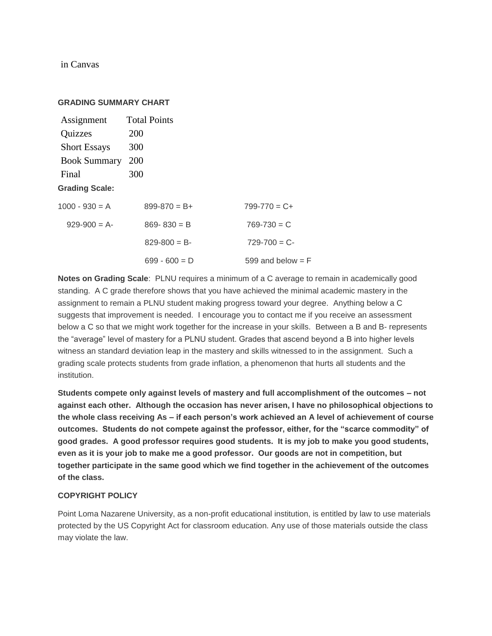in Canvas

#### **GRADING SUMMARY CHART**

| Assignment            | <b>Total Points</b> |                       |
|-----------------------|---------------------|-----------------------|
| Quizzes               | <b>200</b>          |                       |
| <b>Short Essays</b>   | 300                 |                       |
| <b>Book Summary</b>   | 200                 |                       |
| Final                 | 300                 |                       |
| <b>Grading Scale:</b> |                     |                       |
| $1000 - 930 = A$      | $899 - 870 = B +$   | $799 - 770 = C +$     |
| $929-900 = A$         | $869 - 830 = B$     | $769 - 730 = C$       |
|                       | $829 - 800 = B$     | $729 - 700 = C$       |
|                       | $699 - 600 = D$     | 599 and below $=$ $F$ |

**Notes on Grading Scale**: PLNU requires a minimum of a C average to remain in academically good standing. A C grade therefore shows that you have achieved the minimal academic mastery in the assignment to remain a PLNU student making progress toward your degree. Anything below a C suggests that improvement is needed. I encourage you to contact me if you receive an assessment below a C so that we might work together for the increase in your skills. Between a B and B- represents the "average" level of mastery for a PLNU student. Grades that ascend beyond a B into higher levels witness an standard deviation leap in the mastery and skills witnessed to in the assignment. Such a grading scale protects students from grade inflation, a phenomenon that hurts all students and the institution.

**Students compete only against levels of mastery and full accomplishment of the outcomes – not against each other. Although the occasion has never arisen, I have no philosophical objections to the whole class receiving As – if each person's work achieved an A level of achievement of course outcomes. Students do not compete against the professor, either, for the "scarce commodity" of good grades. A good professor requires good students. It is my job to make you good students, even as it is your job to make me a good professor. Our goods are not in competition, but together participate in the same good which we find together in the achievement of the outcomes of the class.**

#### **COPYRIGHT POLICY**

Point Loma Nazarene University, as a non-profit educational institution, is entitled by law to use materials protected by the US Copyright Act for classroom education. Any use of those materials outside the class may violate the law.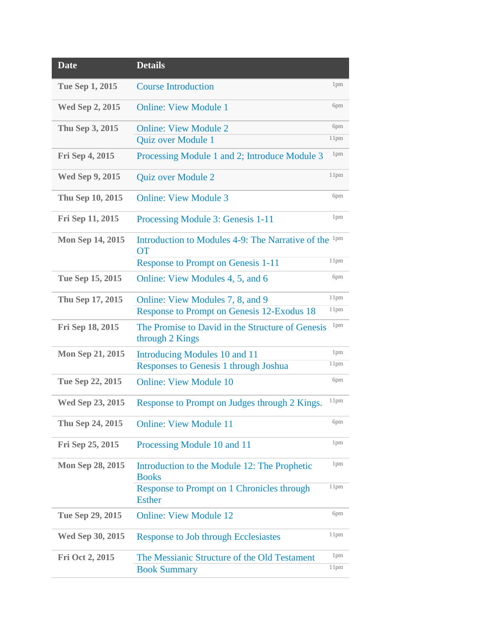| <b>Date</b>             | <b>Details</b>                                                                |                  |
|-------------------------|-------------------------------------------------------------------------------|------------------|
| Tue Sep 1, 2015         | <b>Course Introduction</b>                                                    | 1pm              |
| <b>Wed Sep 2, 2015</b>  | <b>Online: View Module 1</b>                                                  | 6pm              |
| Thu Sep 3, 2015         | <b>Online: View Module 2</b>                                                  | 6pm              |
|                         | Quiz over Module 1                                                            | 11pm             |
| Fri Sep 4, 2015         | Processing Module 1 and 2; Introduce Module 3                                 | 1 <sub>pm</sub>  |
| <b>Wed Sep 9, 2015</b>  | Quiz over Module 2                                                            | 11pm             |
| Thu Sep 10, 2015        | <b>Online: View Module 3</b>                                                  | 6pm              |
| Fri Sep 11, 2015        | Processing Module 3: Genesis 1-11                                             | 1pm              |
| Mon Sep 14, 2015        | Introduction to Modules 4-9: The Narrative of the <sup>1pm</sup><br><b>OT</b> |                  |
|                         | <b>Response to Prompt on Genesis 1-11</b>                                     | 11pm             |
| Tue Sep 15, 2015        | Online: View Modules 4, 5, and 6                                              | 6pm              |
| Thu Sep 17, 2015        | Online: View Modules 7, 8, and 9                                              | 11pm             |
|                         | Response to Prompt on Genesis 12-Exodus 18                                    | 11pm             |
| Fri Sep 18, 2015        | The Promise to David in the Structure of Genesis<br>through 2 Kings           | 1 <sub>pm</sub>  |
| <b>Mon Sep 21, 2015</b> | Introducing Modules 10 and 11                                                 | 1 <sub>pm</sub>  |
|                         | Responses to Genesis 1 through Joshua                                         | 11pm             |
| Tue Sep 22, 2015        | <b>Online: View Module 10</b>                                                 | 6pm              |
| Wed Sep 23, 2015        | Response to Prompt on Judges through 2 Kings.                                 | 11pm             |
| Thu Sep 24, 2015        | <b>Online: View Module 11</b>                                                 | 6pm              |
| Fri Sep 25, 2015        | Processing Module 10 and 11                                                   | 1 <sub>pm</sub>  |
| <b>Mon Sep 28, 2015</b> | Introduction to the Module 12: The Prophetic<br><b>Books</b>                  | 1pm              |
|                         | Response to Prompt on 1 Chronicles through<br><b>Esther</b>                   | 11pm             |
| Tue Sep 29, 2015        | <b>Online: View Module 12</b>                                                 | 6pm              |
| Wed Sep 30, 2015        | <b>Response to Job through Ecclesiastes</b>                                   | 11 <sub>pm</sub> |
|                         |                                                                               | 1 <sub>pm</sub>  |
| Fri Oct 2, 2015         | The Messianic Structure of the Old Testament                                  |                  |